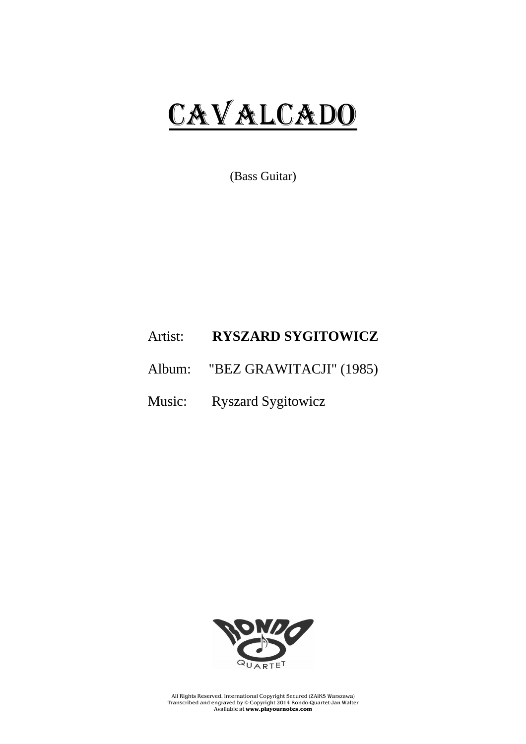## CAVALCADO

(Bass Guitar)

## Artist: **RYSZARD SYGITOWICZ**

- Album: "BEZ GRAWITACJI" (1985)
- Music: Ryszard Sygitowicz



All Rights Reserved. International Copyright Secured (ZAiKS Warszawa) Transcribed and engraved by © Copyright 2014 Rondo-Quartet-Jan Walter Available at **www.playournotes.com**